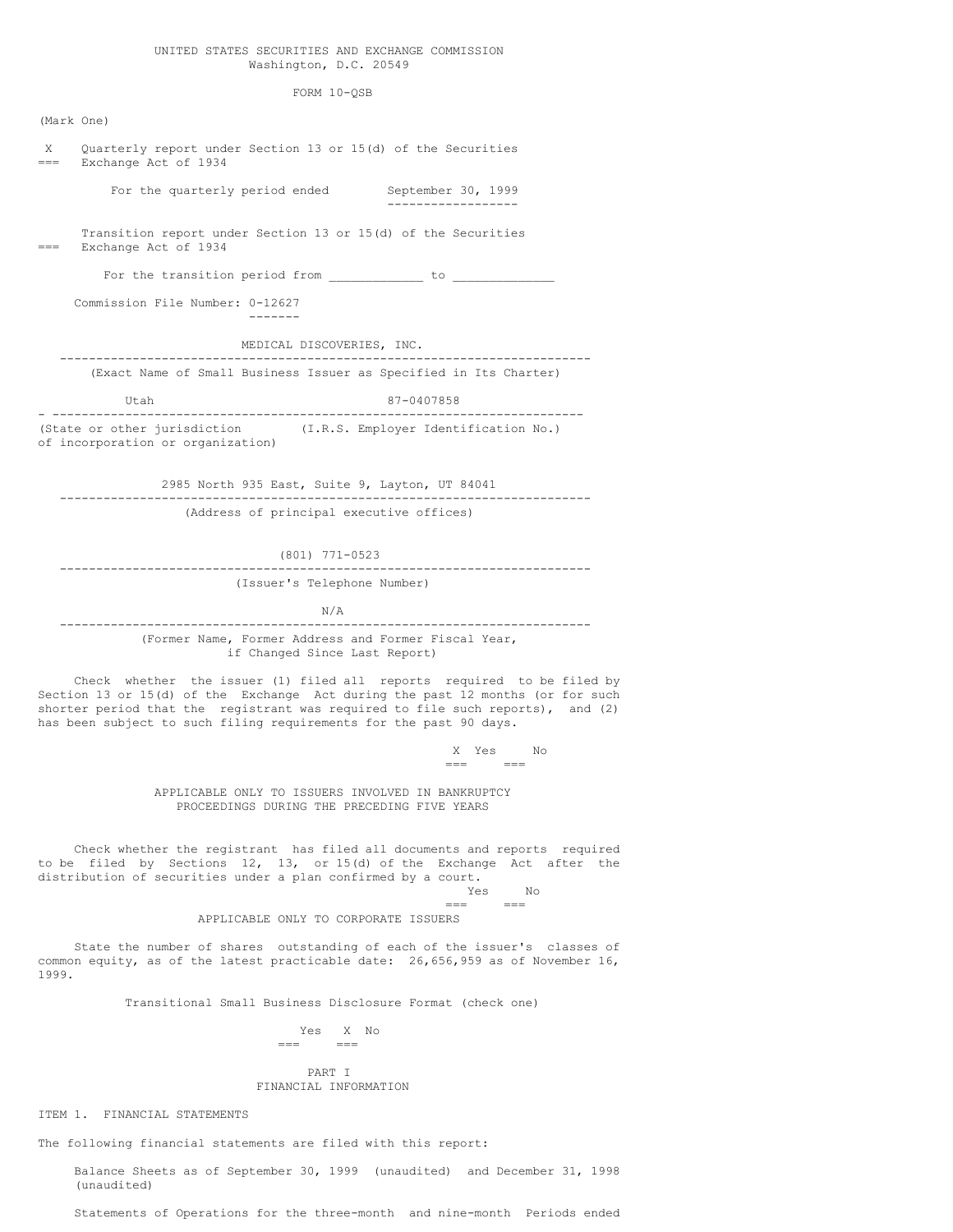### UNITED STATES SECURITIES AND EXCHANGE COMMISSION Washington, D.C. 20549

FORM 10-QSB

(Mark One) X Quarterly report under Section 13 or 15(d) of the Securities Exchange Act of 1934 For the quarterly period ended September 30, 1999 ------------------ Transition report under Section 13 or 15(d) of the Securities Exchange Act of 1934 For the transition period from  $\begin{array}{ccc} \hline \end{array}$ Commission File Number: 0-12627 ------- MEDICAL DISCOVERIES, INC. ------------------------------------------------------------------------- (Exact Name of Small Business Issuer as Specified in Its Charter) Utah 87-0407858 - ------------------------------------------------------------------------- (State or other jurisdiction (I.R.S. Employer Identification No.) of incorporation or organization) 2985 North 935 East, Suite 9, Layton, UT 84041 ------------------------------------------------------------------------- (Address of principal executive offices) (801) 771-0523 ------------------------------------------------------------------------- (Issuer's Telephone Number) N/A ------------------------------------------------------------------------- (Former Name, Former Address and Former Fiscal Year, if Changed Since Last Report) Check whether the issuer (1) filed all reports required to be filed by Section 13 or 15(d) of the Exchange Act during the past 12 months (or for such shorter period that the registrant was required to file such reports), and (2) has been subject to such filing requirements for the past 90 days. X Yes No === === APPLICABLE ONLY TO ISSUERS INVOLVED IN BANKRUPTCY PROCEEDINGS DURING THE PRECEDING FIVE YEARS Check whether the registrant has filed all documents and reports required to be filed by Sections 12, 13, or 15(d) of the Exchange Act after the distribution of securities under a plan confirmed by a court. Yes No  $=$ APPLICABLE ONLY TO CORPORATE ISSUERS State the number of shares outstanding of each of the issuer's classes of

common equity, as of the latest practicable date: 26,656,959 as of November 16, 1999.

Transitional Small Business Disclosure Format (check one)

Yes X No  $=$   $=$ 

## PART I FINANCIAL INFORMATION

ITEM 1. FINANCIAL STATEMENTS

The following financial statements are filed with this report:

Balance Sheets as of September 30, 1999 (unaudited) and December 31, 1998 (unaudited)

Statements of Operations for the three-month and nine-month Periods ended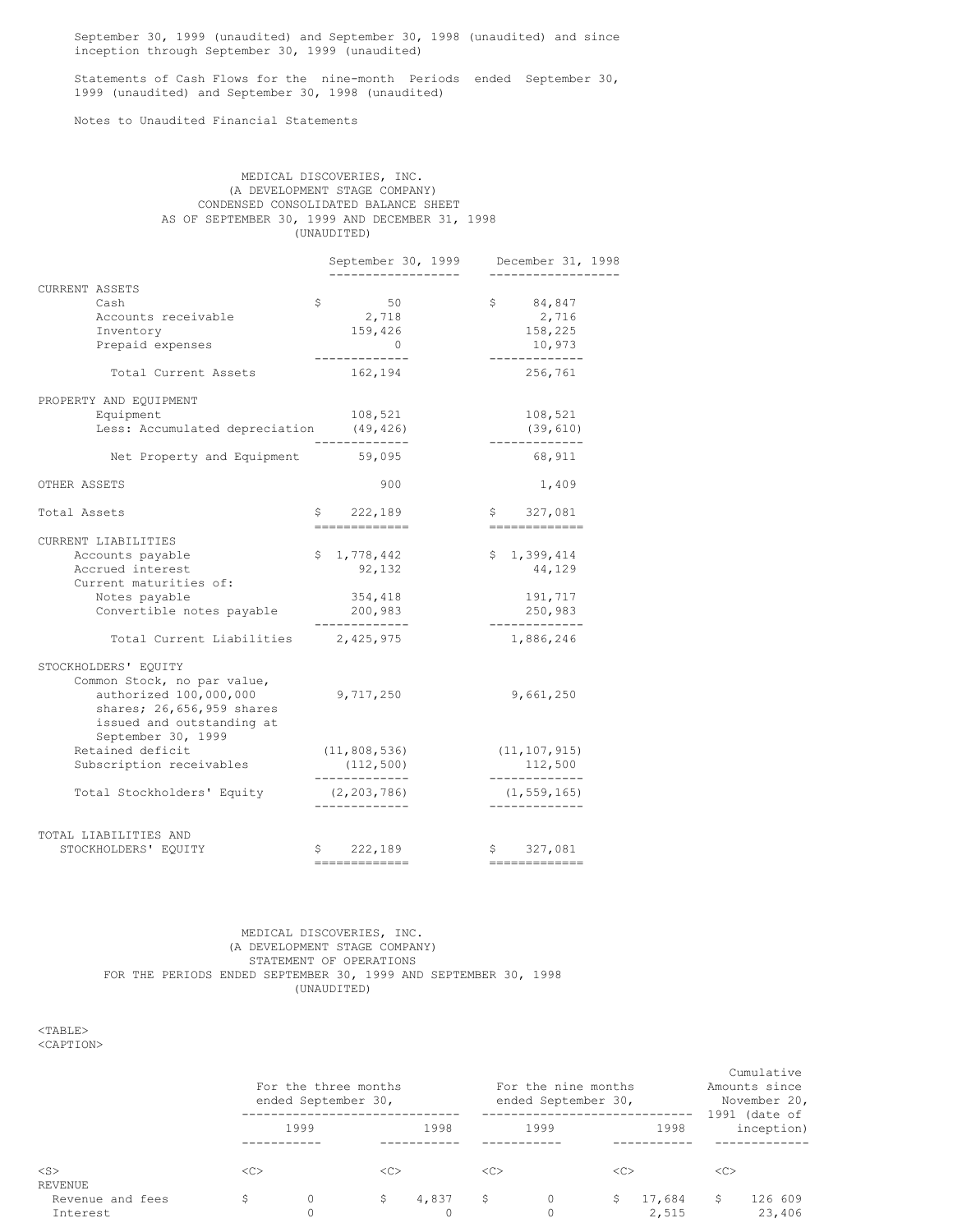September 30, 1999 (unaudited) and September 30, 1998 (unaudited) and since inception through September 30, 1999 (unaudited)

Statements of Cash Flows for the nine-month Periods ended September 30, 1999 (unaudited) and September 30, 1998 (unaudited)

Notes to Unaudited Financial Statements

|             | MEDICAL DISCOVERIES. INC.                      |  |  |  |  |
|-------------|------------------------------------------------|--|--|--|--|
|             | (A DEVELOPMENT STAGE COMPANY)                  |  |  |  |  |
|             | CONDENSED CONSOLIDATED BALANCE SHEET           |  |  |  |  |
|             | AS OF SEPTEMBER 30, 1999 AND DECEMBER 31, 1998 |  |  |  |  |
| (UNAUDITED) |                                                |  |  |  |  |

|                       |                                         | September 30, 1999     | December 31, 1998        |
|-----------------------|-----------------------------------------|------------------------|--------------------------|
| <b>CURRENT ASSETS</b> |                                         | --------------         | --------------           |
|                       | Cash                                    | \$<br>50               | \$<br>84,847             |
|                       | Accounts receivable                     | 2,718                  | 2,716                    |
|                       | Inventory                               | 159,426                | 158,225                  |
|                       | Prepaid expenses                        | $\overline{0}$         | 10,973                   |
|                       |                                         | -------------          | -------------            |
|                       | Total Current Assets                    | 162,194                | 256,761                  |
|                       | PROPERTY AND EQUIPMENT                  |                        |                          |
|                       | Equipment                               | 108,521                | 108,521                  |
|                       | Less: Accumulated depreciation (49,426) |                        | (39, 610)                |
|                       | Net Property and Equipment 59,095       | ----------             | -------------<br>68,911  |
| OTHER ASSETS          |                                         | 900                    | 1,409                    |
| Total Assets          |                                         | \$222,189              | \$327,081                |
|                       |                                         | =============          | --------------           |
|                       | CURRENT LIABILITIES                     |                        |                          |
|                       | Accounts payable                        | \$.<br>1,778,442       | \$<br>1,399,414          |
|                       | Accrued interest                        | 92,132                 | 44,129                   |
|                       | Current maturities of:                  |                        |                          |
|                       | Notes payable                           | 354,418                | 191,717                  |
|                       | Convertible notes payable               | 200,983<br>----------- | 250,983<br>------------- |
|                       | Total Current Liabilities               | 2,425,975              | 1,886,246                |
|                       | STOCKHOLDERS' EQUITY                    |                        |                          |
|                       | Common Stock, no par value,             |                        |                          |
|                       | authorized 100,000,000                  | 9,717,250              | 9,661,250                |
|                       | shares; 26,656,959 shares               |                        |                          |
|                       | issued and outstanding at               |                        |                          |
|                       | September 30, 1999                      |                        |                          |
|                       | Retained deficit                        | (11, 808, 536)         | (11, 107, 915)           |
|                       | Subscription receivables                | (112, 500)             | 112,500                  |
|                       |                                         | -------------          | -------------            |
|                       | Total Stockholders' Equity              | (2, 203, 786)          | (1, 559, 165)            |
|                       |                                         | -------------          | -------------            |
|                       | TOTAL LIABILITIES AND                   |                        |                          |
|                       | STOCKHOLDERS' EQUITY                    | \$222,189              | \$327,081                |
|                       |                                         | =============          | =============            |

## MEDICAL DISCOVERIES, INC. (A DEVELOPMENT STAGE COMPANY) STATEMENT OF OPERATIONS FOR THE PERIODS ENDED SEPTEMBER 30, 1999 AND SEPTEMBER 30, 1998 (UNAUDITED)

<TABLE> <CAPTION>

|                              | For the three months<br>ended September 30, |              |               | For the nine months<br>ended September 30, |     |      | Cumulative<br>Amounts since<br>November 20, |                 |               |                               |
|------------------------------|---------------------------------------------|--------------|---------------|--------------------------------------------|-----|------|---------------------------------------------|-----------------|---------------|-------------------------------|
|                              |                                             | 1999         |               | 1998                                       |     | 1999 |                                             | 1998            |               | $1991$ (date of<br>inception) |
| $<$ S $>$<br>REVENUE         | <<                                          |              | < <sub></sub> |                                            | <<> |      | < <sub></sub>                               |                 | < <sub></sub> |                               |
| Revenue and fees<br>Interest |                                             | $\circ$<br>0 | S             | 4,837                                      |     |      | S.                                          | 17,684<br>2,515 | S             | 126 609<br>23,406             |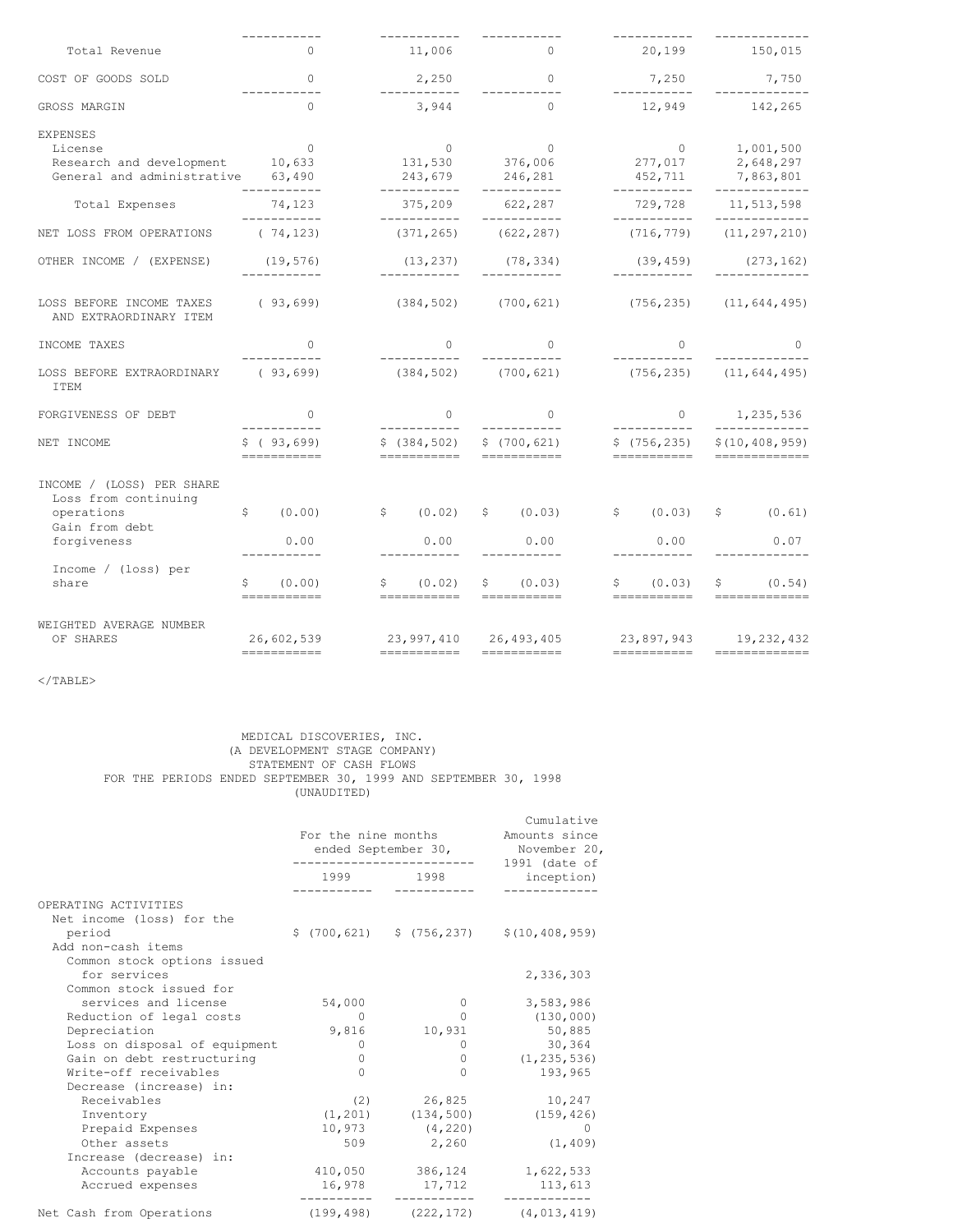|                                                                                        | ---------                                                                             |                             | ___________                                                                                                                                                                                                                                                                                                                                                                               |                                                                                                          |
|----------------------------------------------------------------------------------------|---------------------------------------------------------------------------------------|-----------------------------|-------------------------------------------------------------------------------------------------------------------------------------------------------------------------------------------------------------------------------------------------------------------------------------------------------------------------------------------------------------------------------------------|----------------------------------------------------------------------------------------------------------|
| $\Omega$                                                                               | 11,006                                                                                |                             |                                                                                                                                                                                                                                                                                                                                                                                           | 20,199 150,015                                                                                           |
| $\Omega$                                                                               |                                                                                       | $\sim$ 0                    | 7,250                                                                                                                                                                                                                                                                                                                                                                                     | 7,750                                                                                                    |
| $\Omega$                                                                               | 3,944                                                                                 | $\Omega$                    | 12,949                                                                                                                                                                                                                                                                                                                                                                                    | 142,265                                                                                                  |
| $\overline{0}$<br>Research and development 10,633<br>General and administrative 63,490 |                                                                                       |                             | $\sim$ 0<br>277,017<br>452,711                                                                                                                                                                                                                                                                                                                                                            | 1,001,500<br>2,648,297<br>7,863,801<br>-------------                                                     |
| 74,123                                                                                 |                                                                                       | 622,287                     | 729,728                                                                                                                                                                                                                                                                                                                                                                                   | 11,513,598                                                                                               |
| (74, 123)                                                                              | (371, 265)                                                                            |                             | (716, 779)                                                                                                                                                                                                                                                                                                                                                                                | -------------<br>(11, 297, 210)                                                                          |
| (19, 576)<br>------------                                                              | (13, 237)<br>___________                                                              | -----------                 | (39, 459)<br>___________                                                                                                                                                                                                                                                                                                                                                                  | (273, 162)                                                                                               |
| (93,699)                                                                               | (384, 502)                                                                            |                             |                                                                                                                                                                                                                                                                                                                                                                                           |                                                                                                          |
| $\bigcap$                                                                              | $\Omega$                                                                              | $\Omega$                    | $\Omega$                                                                                                                                                                                                                                                                                                                                                                                  | $\Omega$                                                                                                 |
| LOSS BEFORE EXTRAORDINARY (93,699)                                                     |                                                                                       |                             |                                                                                                                                                                                                                                                                                                                                                                                           | $(756, 235)$ $(11, 644, 495)$                                                                            |
| $\bigcirc$                                                                             | $\Omega$                                                                              | $\Omega$                    | $\circ$                                                                                                                                                                                                                                                                                                                                                                                   | 1,235,536                                                                                                |
| \$ (93, 699)<br>-----------                                                            |                                                                                       | \$(700, 621)<br>=========== | \$(756, 235)<br>===========                                                                                                                                                                                                                                                                                                                                                               | -------------<br>\$(10, 408, 959)<br>=============                                                       |
| \$<br>(0.00)<br>0.00                                                                   |                                                                                       | \$ (0.03)<br>0.00           | 0.00                                                                                                                                                                                                                                                                                                                                                                                      | \$ (0.61)<br>0.07                                                                                        |
| \$<br>(0.00)                                                                           |                                                                                       | \$ (0.03)                   | \$ (0.03)                                                                                                                                                                                                                                                                                                                                                                                 | \$ (0.54)<br>=============                                                                               |
| 26,602,539<br>===========                                                              |                                                                                       |                             | ===========                                                                                                                                                                                                                                                                                                                                                                               | 23,897,943 19,232,432                                                                                    |
|                                                                                        | ___________<br>-----------<br>__________<br>___________<br>___________<br>=========== | -----------<br>-----------  | $\sim$ 0<br>2,250<br>------------<br>$0$ 0<br>131,530 376,006<br>243,679 246,281<br>------------<br>375,209<br>------------<br>(622, 287)<br>(78, 334)<br>(700, 621)<br>$(384, 502)$ $(700, 621)$<br>___________<br>___________<br>\$(384, 502)<br>===========<br>\$ (0.02)<br>0.00<br>\$ (0.02)<br>===========<br>===========<br>23,997,410 26,493,405<br>===========<br>$=$ =========== | ------------<br>------------<br>$(756, 235)$ $(11, 644, 495)$<br>___________<br>\$ (0.03)<br>=========== |

 $<$ /TABLE>

# MEDICAL DISCOVERIES, INC. (A DEVELOPMENT STAGE COMPANY) STATEMENT OF CASH FLOWS FOR THE PERIODS ENDED SEPTEMBER 30, 1999 AND SEPTEMBER 30, 1998 (UNAUDITED)

|                                                   | For the nine months<br>ended September 30, | Cumulative<br>Amounts since<br>November 20,<br>$1991$ (date of |                                               |
|---------------------------------------------------|--------------------------------------------|----------------------------------------------------------------|-----------------------------------------------|
|                                                   | 1999                                       | 1998                                                           | inception)                                    |
| OPERATING ACTIVITIES<br>Net income (loss) for the |                                            |                                                                |                                               |
| period<br>Add non-cash items                      |                                            |                                                                | $$(700, 621)$ $$(756, 237)$ $$(10, 408, 959)$ |
| Common stock options issued                       |                                            |                                                                |                                               |
| for services                                      |                                            |                                                                | 2,336,303                                     |
| Common stock issued for                           |                                            |                                                                |                                               |
| services and license                              | 54,000                                     | 0                                                              | 3,583,986                                     |
| Reduction of legal costs                          | $\Omega$                                   | $\Omega$                                                       | (130, 000)                                    |
| Depreciation                                      | 9,816                                      | 10,931                                                         | 50,885                                        |
| Loss on disposal of equipment                     | 0                                          | 0                                                              | 30,364                                        |
| Gain on debt restructuring                        | 0                                          | $\Omega$                                                       | (1, 235, 536)                                 |
| Write-off receivables                             | $\Omega$                                   | $\Omega$                                                       | 193,965                                       |
| Decrease (increase) in:                           |                                            |                                                                |                                               |
| Receivables                                       | (2)                                        | 26,825                                                         | 10,247                                        |
| Inventory                                         | (1, 201)                                   | (134, 500)                                                     | (159, 426)                                    |
| Prepaid Expenses                                  | 10,973                                     | (4, 220)                                                       | $\Omega$                                      |
| Other assets                                      | 509                                        | 2,260                                                          | (1, 409)                                      |
| Increase (decrease) in:                           |                                            |                                                                |                                               |
| Accounts payable                                  | 410,050                                    | 386,124                                                        | 1,622,533                                     |
| Accrued expenses                                  | 16,978                                     | 17,712                                                         | 113,613                                       |
| Net Cash from Operations                          | (199, 498)                                 | (222, 172)                                                     | (4, 013, 419)                                 |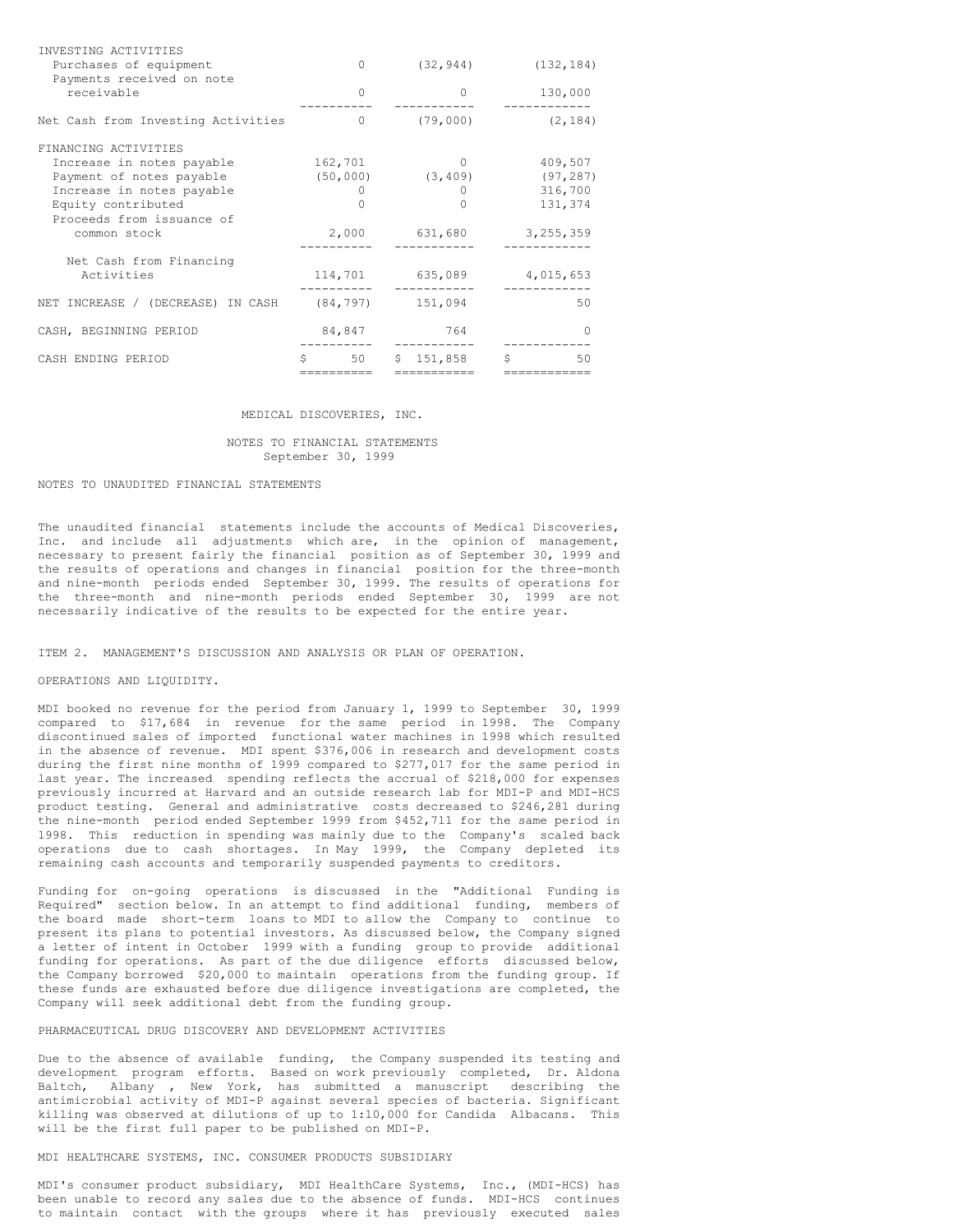| INVESTING ACTIVITIES               |           |                        |             |
|------------------------------------|-----------|------------------------|-------------|
| Purchases of equipment             | $\bigcap$ | (32, 944)              | (132, 184)  |
| Payments received on note          |           |                        |             |
| receivable                         | $\bigcap$ | 0                      | 130,000     |
| Net Cash from Investing Activities | $\bigcap$ | (79,000)               | (2, 184)    |
| FINANCING ACTIVITIES               |           |                        |             |
| Increase in notes payable          | 162,701   | $\Omega$               | 409,507     |
| Payment of notes payable           |           | $(50, 000)$ $(3, 409)$ | (97, 287)   |
| Increase in notes payable          |           | $\Omega$               | 316,700     |
| Equity contributed                 | 0         | O                      | 131,374     |
| Proceeds from issuance of          |           |                        |             |
| common stock                       | 2,000     | 631,680                | 3, 255, 359 |
| Net Cash from Financing            |           |                        |             |
| Activities                         | 114,701   | 635,089                | 4,015,653   |
| NET INCREASE / (DECREASE) IN CASH  |           | $(84, 797)$ 151,094    | 50          |
| CASH, BEGINNING PERIOD             | 84,847    | 764                    | ∩           |
| CASH ENDING PERIOD                 | 50<br>S.  | 151,858<br>S.          | Ŝ<br>50     |
|                                    |           | =========              |             |

#### MEDICAL DISCOVERIES, INC.

### NOTES TO FINANCIAL STATEMENTS September 30, 1999

## NOTES TO UNAUDITED FINANCIAL STATEMENTS

The unaudited financial statements include the accounts of Medical Discoveries, Inc. and include all adjustments which are, in the opinion of management, necessary to present fairly the financial position as of September 30, 1999 and the results of operations and changes in financial position for the three-month and nine-month periods ended September 30, 1999. The results of operations for the three-month and nine-month periods ended September 30, 1999 are not necessarily indicative of the results to be expected for the entire year.

### ITEM 2. MANAGEMENT'S DISCUSSION AND ANALYSIS OR PLAN OF OPERATION.

#### OPERATIONS AND LIQUIDITY.

MDI booked no revenue for the period from January 1, 1999 to September 30, 1999 compared to \$17,684 in revenue for the same period in 1998. The Company discontinued sales of imported functional water machines in 1998 which resulted in the absence of revenue. MDI spent \$376,006 in research and development costs during the first nine months of 1999 compared to \$277,017 for the same period in last year. The increased spending reflects the accrual of \$218,000 for expenses previously incurred at Harvard and an outside research lab for MDI-P and MDI-HCS product testing. General and administrative costs decreased to \$246,281 during the nine-month period ended September 1999 from \$452,711 for the same period in 1998. This reduction in spending was mainly due to the Company's scaled back operations due to cash shortages. In May 1999, the Company depleted its remaining cash accounts and temporarily suspended payments to creditors.

Funding for on-going operations is discussed in the "Additional Funding is Required" section below. In an attempt to find additional funding, members of the board made short-term loans to MDI to allow the Company to continue to present its plans to potential investors. As discussed below, the Company signed a letter of intent in October 1999 with a funding group to provide additional funding for operations. As part of the due diligence efforts discussed below, the Company borrowed \$20,000 to maintain operations from the funding group. If these funds are exhausted before due diligence investigations are completed, the Company will seek additional debt from the funding group.

## PHARMACEUTICAL DRUG DISCOVERY AND DEVELOPMENT ACTIVITIES

Due to the absence of available funding, the Company suspended its testing and development program efforts. Based on work previously completed, Dr. Aldona Baltch, Albany , New York, has submitted a manuscript describing the antimicrobial activity of MDI-P against several species of bacteria. Significant killing was observed at dilutions of up to 1:10,000 for Candida Albacans. This will be the first full paper to be published on MDI-P.

# MDI HEALTHCARE SYSTEMS, INC. CONSUMER PRODUCTS SUBSIDIARY

MDI's consumer product subsidiary, MDI HealthCare Systems, Inc., (MDI-HCS) has been unable to record any sales due to the absence of funds. MDI-HCS continues to maintain contact with the groups where it has previously executed sales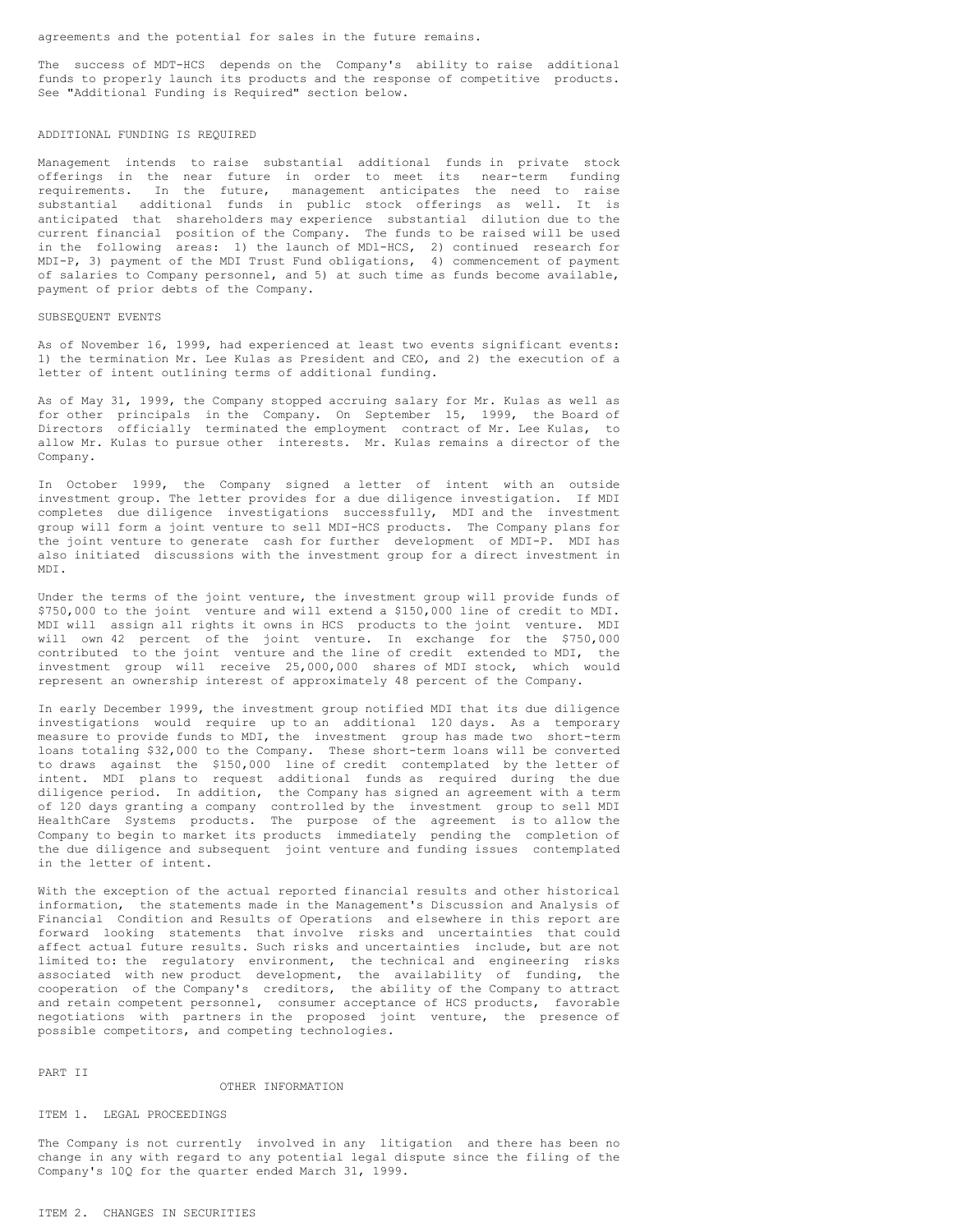agreements and the potential for sales in the future remains.

The success of MDT-HCS depends on the Company's ability to raise additional funds to properly launch its products and the response of competitive products. See "Additional Funding is Required" section below.

#### ADDITIONAL FUNDING IS REQUIRED

Management intends to raise substantial additional funds in private stock offerings in the near future in order to meet its near-term funding requirements. In the future, management anticipates the need to raise substantial additional funds in public stock offerings as well. It is anticipated that shareholders may experience substantial dilution due to the current financial position of the Company. The funds to be raised will be used in the following areas: 1) the launch of MDl-HCS, 2) continued research for MDI-P, 3) payment of the MDI Trust Fund obligations, 4) commencement of payment of salaries to Company personnel, and 5) at such time as funds become available, payment of prior debts of the Company.

## SUBSEQUENT EVENTS

As of November 16, 1999, had experienced at least two events significant events: 1) the termination Mr. Lee Kulas as President and CEO, and 2) the execution of a letter of intent outlining terms of additional funding.

As of May 31, 1999, the Company stopped accruing salary for Mr. Kulas as well as for other principals in the Company. On September 15, 1999, the Board of Directors officially terminated the employment contract of Mr. Lee Kulas, to allow Mr. Kulas to pursue other interests. Mr. Kulas remains a director of the Company.

In October 1999, the Company signed a letter of intent with an outside investment group. The letter provides for a due diligence investigation. If MDI completes due diligence investigations successfully, MDI and the investment group will form a joint venture to sell MDI-HCS products. The Company plans for the joint venture to generate cash for further development of MDI-P. MDI has also initiated discussions with the investment group for a direct investment in MDI.

Under the terms of the joint venture, the investment group will provide funds of \$750,000 to the joint venture and will extend a \$150,000 line of credit to MDI. MDI will assign all rights it owns in HCS products to the joint venture. MDI will own 42 percent of the joint venture. In exchange for the \$750,000 contributed to the joint venture and the line of credit extended to MDI, the investment group will receive 25,000,000 shares of MDI stock, which would represent an ownership interest of approximately 48 percent of the Company.

In early December 1999, the investment group notified MDI that its due diligence investigations would require up to an additional 120 days. As a temporary measure to provide funds to MDI, the investment group has made two short-term loans totaling \$32,000 to the Company. These short-term loans will be converted to draws against the \$150,000 line of credit contemplated by the letter of intent. MDI plans to request additional funds as required during the due diligence period. In addition, the Company has signed an agreement with a term of 120 days granting a company controlled by the investment group to sell MDI HealthCare Systems products. The purpose of the agreement is to allow the Company to begin to market its products immediately pending the completion of the due diligence and subsequent joint venture and funding issues contemplated in the letter of intent.

With the exception of the actual reported financial results and other historical information, the statements made in the Management's Discussion and Analysis of Financial Condition and Results of Operations and elsewhere in this report are forward looking statements that involve risks and uncertainties that could affect actual future results. Such risks and uncertainties include, but are not limited to: the regulatory environment, the technical and engineering risks associated with new product development, the availability of funding, the cooperation of the Company's creditors, the ability of the Company to attract and retain competent personnel, consumer acceptance of HCS products, favorable negotiations with partners in the proposed joint venture, the presence of possible competitors, and competing technologies.

## PART II

#### OTHER INFORMATION

# ITEM 1. LEGAL PROCEEDINGS

The Company is not currently involved in any litigation and there has been no change in any with regard to any potential legal dispute since the filing of the Company's 10Q for the quarter ended March 31, 1999.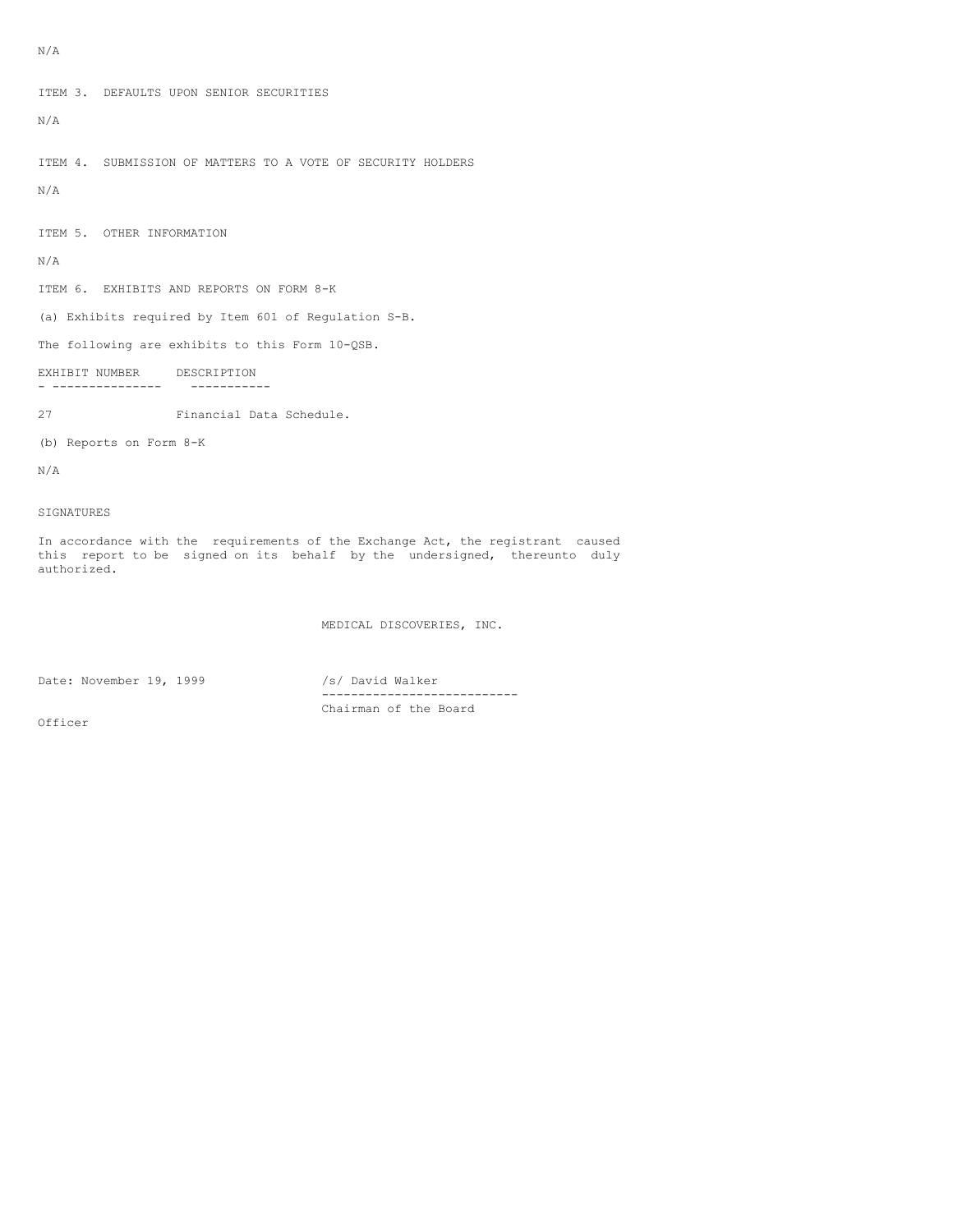ITEM 3. DEFAULTS UPON SENIOR SECURITIES N/A ITEM 4. SUBMISSION OF MATTERS TO A VOTE OF SECURITY HOLDERS N/A ITEM 5. OTHER INFORMATION N/A ITEM 6. EXHIBITS AND REPORTS ON FORM 8-K (a) Exhibits required by Item 601 of Regulation S-B. The following are exhibits to this Form 10-QSB. EXHIBIT NUMBER DESCRIPTION - --------------- -----------

27 Financial Data Schedule.

(b) Reports on Form 8-K

N/A

SIGNATURES

In accordance with the requirements of the Exchange Act, the registrant caused this report to be signed on its behalf by the undersigned, thereunto duly authorized.

MEDICAL DISCOVERIES, INC.

Date: November 19, 1999 /s/ David Walker

--------------------------- Chairman of the Board

Officer